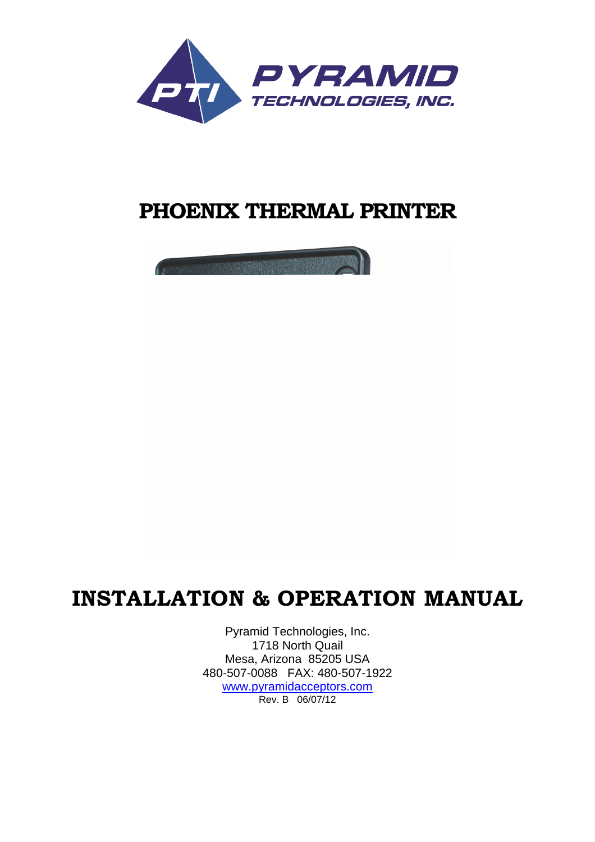

# **PHOENIX THERMAL PRINTER**

# **INSTALLATION & OPERATION MANUAL**

Pyramid Technologies, Inc. 1718 North Quail Mesa, Arizona 85205 USA 480-507-0088 FAX: 480-507-1922 [www.pyramidacceptors.com](http://www.pyramidacceptors.com/) Rev. B 06/07/12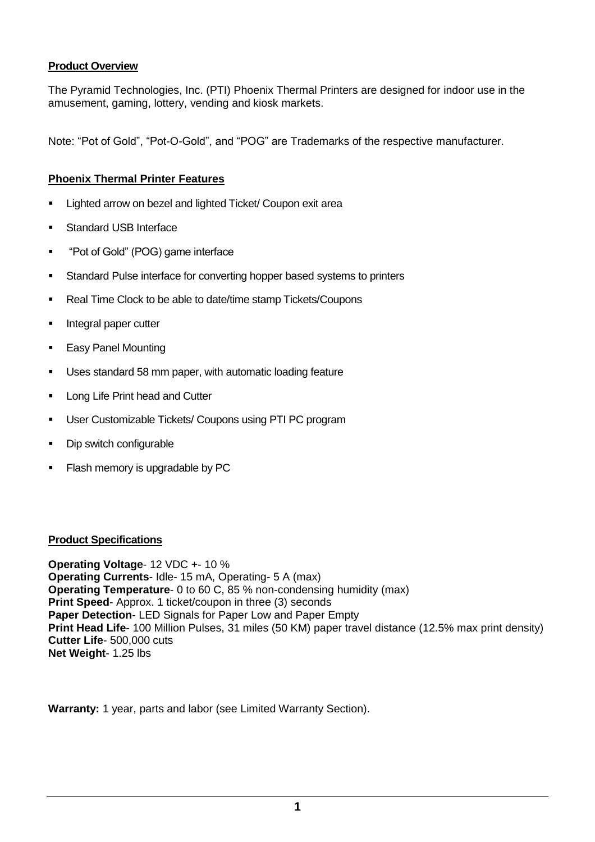## **Product Overview**

The Pyramid Technologies, Inc. (PTI) Phoenix Thermal Printers are designed for indoor use in the amusement, gaming, lottery, vending and kiosk markets.

Note: "Pot of Gold", "Pot-O-Gold", and "POG" are Trademarks of the respective manufacturer.

## **Phoenix Thermal Printer Features**

- Lighted arrow on bezel and lighted Ticket/ Coupon exit area
- Standard USB Interface
- "Pot of Gold" (POG) game interface
- **Standard Pulse interface for converting hopper based systems to printers**
- Real Time Clock to be able to date/time stamp Tickets/Coupons
- **Integral paper cutter**
- **Easy Panel Mounting**
- Uses standard 58 mm paper, with automatic loading feature
- Long Life Print head and Cutter
- User Customizable Tickets/ Coupons using PTI PC program
- Dip switch configurable
- Flash memory is upgradable by PC

#### **Product Specifications**

**Operating Voltage**- 12 VDC +- 10 % **Operating Currents**- Idle- 15 mA, Operating- 5 A (max) **Operating Temperature**- 0 to 60 C, 85 % non-condensing humidity (max) **Print Speed-** Approx. 1 ticket/coupon in three (3) seconds **Paper Detection**- LED Signals for Paper Low and Paper Empty **Print Head Life**- 100 Million Pulses, 31 miles (50 KM) paper travel distance (12.5% max print density) **Cutter Life**- 500,000 cuts **Net Weight**- 1.25 lbs

**Warranty:** 1 year, parts and labor (see Limited Warranty Section).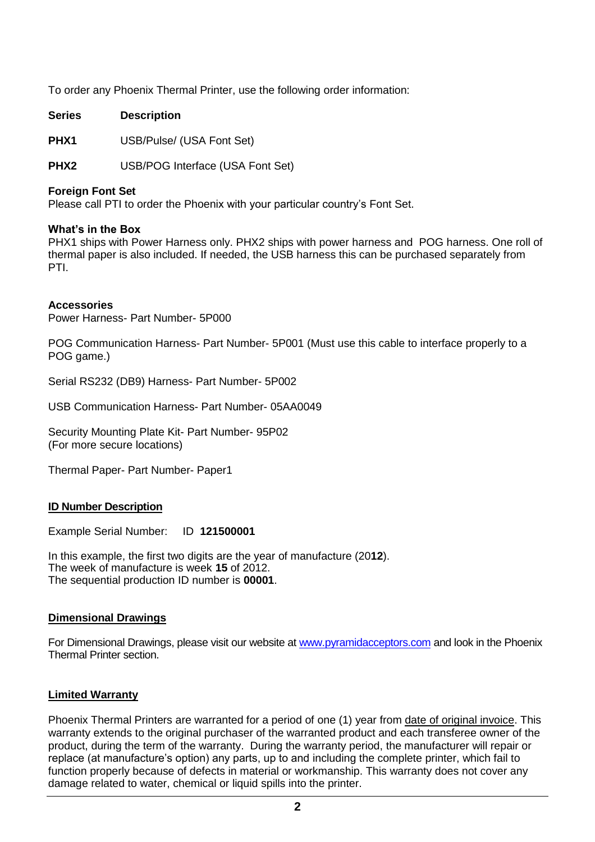To order any Phoenix Thermal Printer, use the following order information:

**Series Description**

**PHX1** USB/Pulse/ (USA Font Set)

**PHX2** USB/POG Interface (USA Font Set)

#### **Foreign Font Set**

Please call PTI to order the Phoenix with your particular country's Font Set.

#### **What's in the Box**

PHX1 ships with Power Harness only. PHX2 ships with power harness and POG harness. One roll of thermal paper is also included. If needed, the USB harness this can be purchased separately from PTI.

#### **Accessories**

Power Harness- Part Number- 5P000

POG Communication Harness- Part Number- 5P001 (Must use this cable to interface properly to a POG game.)

Serial RS232 (DB9) Harness- Part Number- 5P002

USB Communication Harness- Part Number- 05AA0049

Security Mounting Plate Kit- Part Number- 95P02 (For more secure locations)

Thermal Paper- Part Number- Paper1

#### **ID Number Description**

Example Serial Number: ID **121500001**

In this example, the first two digits are the year of manufacture (20**12**). The week of manufacture is week **15** of 2012. The sequential production ID number is **00001**.

#### **Dimensional Drawings**

For Dimensional Drawings, please visit our website at [www.pyramidacceptors.com](http://www.pyramidacceptors.com/) and look in the Phoenix Thermal Printer section.

#### **Limited Warranty**

Phoenix Thermal Printers are warranted for a period of one (1) year from date of original invoice. This warranty extends to the original purchaser of the warranted product and each transferee owner of the product, during the term of the warranty. During the warranty period, the manufacturer will repair or replace (at manufacture's option) any parts, up to and including the complete printer, which fail to function properly because of defects in material or workmanship. This warranty does not cover any damage related to water, chemical or liquid spills into the printer.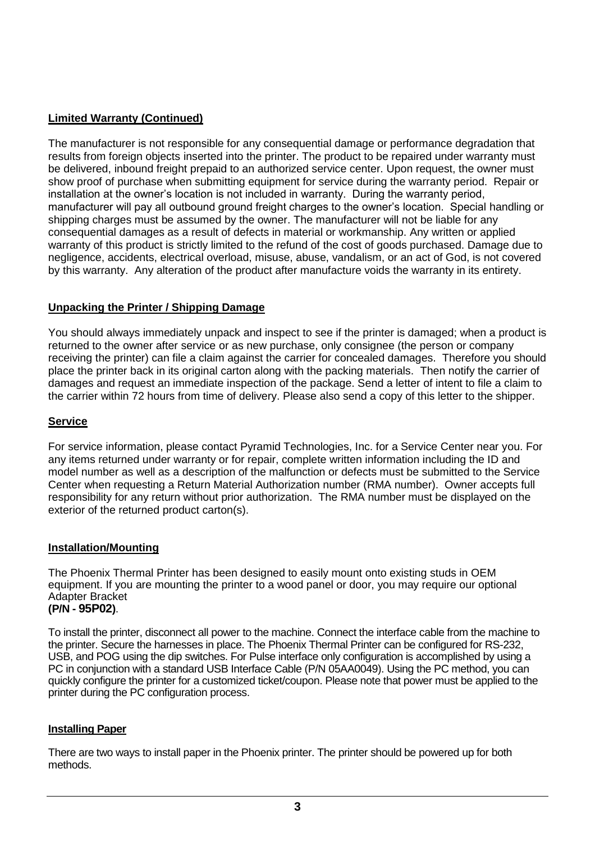## **Limited Warranty (Continued)**

The manufacturer is not responsible for any consequential damage or performance degradation that results from foreign objects inserted into the printer. The product to be repaired under warranty must be delivered, inbound freight prepaid to an authorized service center. Upon request, the owner must show proof of purchase when submitting equipment for service during the warranty period. Repair or installation at the owner's location is not included in warranty. During the warranty period, manufacturer will pay all outbound ground freight charges to the owner's location. Special handling or shipping charges must be assumed by the owner. The manufacturer will not be liable for any consequential damages as a result of defects in material or workmanship. Any written or applied warranty of this product is strictly limited to the refund of the cost of goods purchased. Damage due to negligence, accidents, electrical overload, misuse, abuse, vandalism, or an act of God, is not covered by this warranty. Any alteration of the product after manufacture voids the warranty in its entirety.

## **Unpacking the Printer / Shipping Damage**

You should always immediately unpack and inspect to see if the printer is damaged; when a product is returned to the owner after service or as new purchase, only consignee (the person or company receiving the printer) can file a claim against the carrier for concealed damages. Therefore you should place the printer back in its original carton along with the packing materials. Then notify the carrier of damages and request an immediate inspection of the package. Send a letter of intent to file a claim to the carrier within 72 hours from time of delivery. Please also send a copy of this letter to the shipper.

## **Service**

For service information, please contact Pyramid Technologies, Inc. for a Service Center near you. For any items returned under warranty or for repair, complete written information including the ID and model number as well as a description of the malfunction or defects must be submitted to the Service Center when requesting a Return Material Authorization number (RMA number). Owner accepts full responsibility for any return without prior authorization. The RMA number must be displayed on the exterior of the returned product carton(s).

#### **Installation/Mounting**

The Phoenix Thermal Printer has been designed to easily mount onto existing studs in OEM equipment. If you are mounting the printer to a wood panel or door, you may require our optional Adapter Bracket **(P/N - 95P02)**.

To install the printer, disconnect all power to the machine. Connect the interface cable from the machine to the printer. Secure the harnesses in place. The Phoenix Thermal Printer can be configured for RS-232, USB, and POG using the dip switches. For Pulse interface only configuration is accomplished by using a PC in conjunction with a standard USB Interface Cable (P/N 05AA0049). Using the PC method, you can quickly configure the printer for a customized ticket/coupon. Please note that power must be applied to the printer during the PC configuration process.

## **Installing Paper**

There are two ways to install paper in the Phoenix printer. The printer should be powered up for both methods.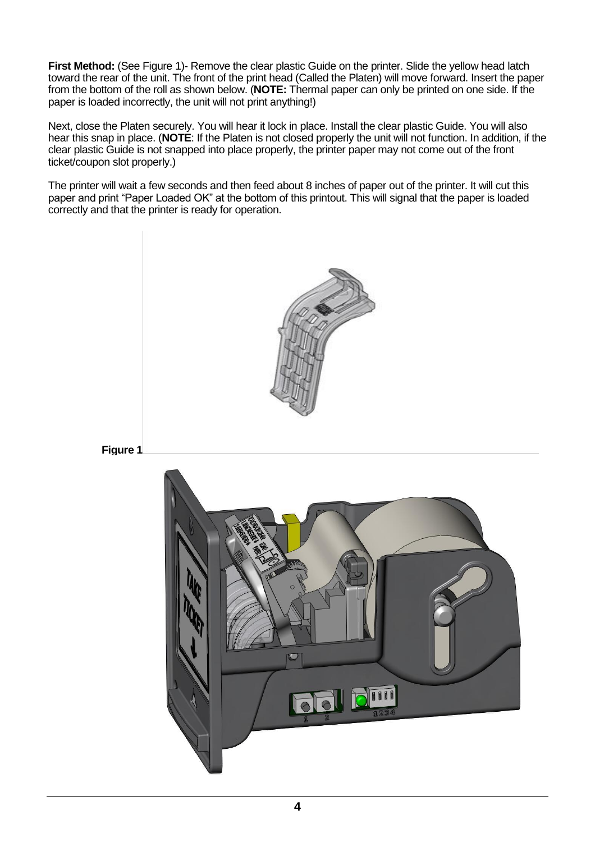**First Method:** (See Figure 1)- Remove the clear plastic Guide on the printer. Slide the yellow head latch toward the rear of the unit. The front of the print head (Called the Platen) will move forward. Insert the paper from the bottom of the roll as shown below. (**NOTE:** Thermal paper can only be printed on one side. If the paper is loaded incorrectly, the unit will not print anything!)

Next, close the Platen securely. You will hear it lock in place. Install the clear plastic Guide. You will also hear this snap in place. (**NOTE**: If the Platen is not closed properly the unit will not function. In addition, if the clear plastic Guide is not snapped into place properly, the printer paper may not come out of the front ticket/coupon slot properly.)

The printer will wait a few seconds and then feed about 8 inches of paper out of the printer. It will cut this paper and print "Paper Loaded OK" at the bottom of this printout. This will signal that the paper is loaded correctly and that the printer is ready for operation.





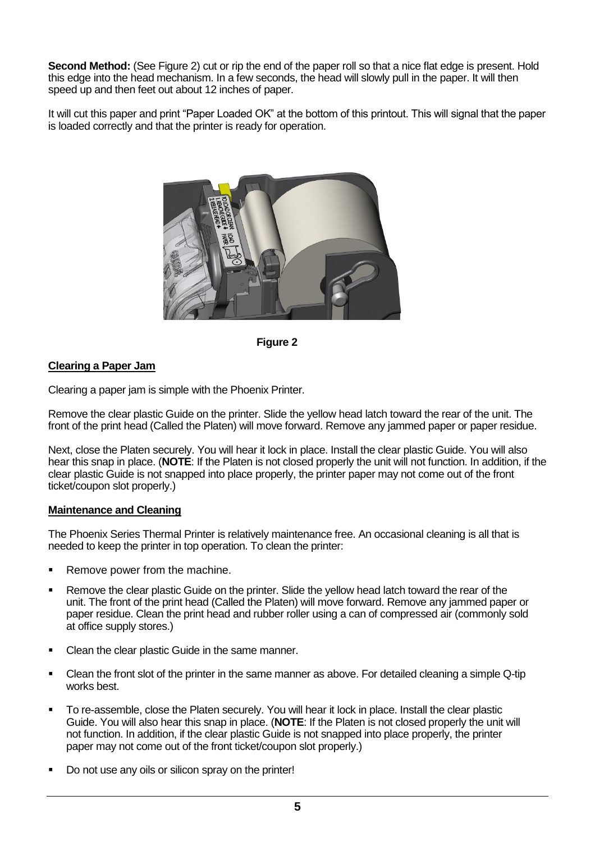**Second Method:** (See Figure 2) cut or rip the end of the paper roll so that a nice flat edge is present. Hold this edge into the head mechanism. In a few seconds, the head will slowly pull in the paper. It will then speed up and then feet out about 12 inches of paper.

It will cut this paper and print "Paper Loaded OK" at the bottom of this printout. This will signal that the paper is loaded correctly and that the printer is ready for operation.





#### **Clearing a Paper Jam**

Clearing a paper jam is simple with the Phoenix Printer.

Remove the clear plastic Guide on the printer. Slide the yellow head latch toward the rear of the unit. The front of the print head (Called the Platen) will move forward. Remove any jammed paper or paper residue.

Next, close the Platen securely. You will hear it lock in place. Install the clear plastic Guide. You will also hear this snap in place. (**NOTE**: If the Platen is not closed properly the unit will not function. In addition, if the clear plastic Guide is not snapped into place properly, the printer paper may not come out of the front ticket/coupon slot properly.)

#### **Maintenance and Cleaning**

The Phoenix Series Thermal Printer is relatively maintenance free. An occasional cleaning is all that is needed to keep the printer in top operation. To clean the printer:

- Remove power from the machine.
- Remove the clear plastic Guide on the printer. Slide the yellow head latch toward the rear of the unit. The front of the print head (Called the Platen) will move forward. Remove any jammed paper or paper residue. Clean the print head and rubber roller using a can of compressed air (commonly sold at office supply stores.)
- Clean the clear plastic Guide in the same manner.
- Clean the front slot of the printer in the same manner as above. For detailed cleaning a simple Q-tip works best.
- To re-assemble, close the Platen securely. You will hear it lock in place. Install the clear plastic Guide. You will also hear this snap in place. (**NOTE**: If the Platen is not closed properly the unit will not function. In addition, if the clear plastic Guide is not snapped into place properly, the printer paper may not come out of the front ticket/coupon slot properly.)
- Do not use any oils or silicon spray on the printer!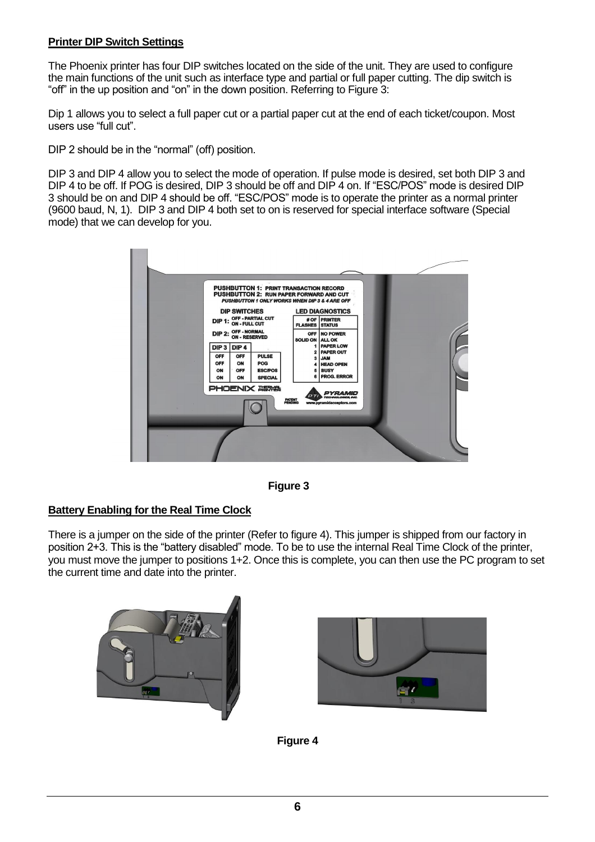## **Printer DIP Switch Settings**

The Phoenix printer has four DIP switches located on the side of the unit. They are used to configure the main functions of the unit such as interface type and partial or full paper cutting. The dip switch is "off" in the up position and "on" in the down position. Referring to Figure 3:

Dip 1 allows you to select a full paper cut or a partial paper cut at the end of each ticket/coupon. Most users use "full cut".

DIP 2 should be in the "normal" (off) position.

DIP 3 and DIP 4 allow you to select the mode of operation. If pulse mode is desired, set both DIP 3 and DIP 4 to be off. If POG is desired, DIP 3 should be off and DIP 4 on. If "ESC/POS" mode is desired DIP 3 should be on and DIP 4 should be off. "ESC/POS" mode is to operate the printer as a normal printer (9600 baud, N, 1). DIP 3 and DIP 4 both set to on is reserved for special interface software (Special mode) that we can develop for you.





#### **Battery Enabling for the Real Time Clock**

There is a jumper on the side of the printer (Refer to figure 4). This jumper is shipped from our factory in position 2+3. This is the "battery disabled" mode. To be to use the internal Real Time Clock of the printer, you must move the jumper to positions 1+2. Once this is complete, you can then use the PC program to set the current time and date into the printer.





**Figure 4**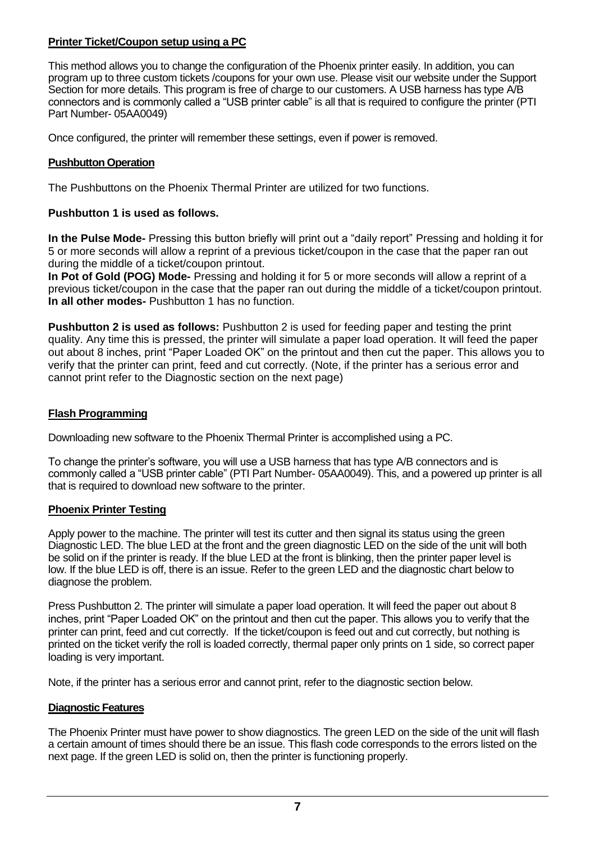## **Printer Ticket/Coupon setup using a PC**

This method allows you to change the configuration of the Phoenix printer easily. In addition, you can program up to three custom tickets /coupons for your own use. Please visit our website under the Support Section for more details. This program is free of charge to our customers. A USB harness has type A/B connectors and is commonly called a "USB printer cable" is all that is required to configure the printer (PTI Part Number- 05AA0049)

Once configured, the printer will remember these settings, even if power is removed.

## **Pushbutton Operation**

The Pushbuttons on the Phoenix Thermal Printer are utilized for two functions.

## **Pushbutton 1 is used as follows.**

**In the Pulse Mode-** Pressing this button briefly will print out a "daily report" Pressing and holding it for 5 or more seconds will allow a reprint of a previous ticket/coupon in the case that the paper ran out during the middle of a ticket/coupon printout.

**In Pot of Gold (POG) Mode-** Pressing and holding it for 5 or more seconds will allow a reprint of a previous ticket/coupon in the case that the paper ran out during the middle of a ticket/coupon printout. **In all other modes-** Pushbutton 1 has no function.

**Pushbutton 2 is used as follows:** Pushbutton 2 is used for feeding paper and testing the print quality. Any time this is pressed, the printer will simulate a paper load operation. It will feed the paper out about 8 inches, print "Paper Loaded OK" on the printout and then cut the paper. This allows you to verify that the printer can print, feed and cut correctly. (Note, if the printer has a serious error and cannot print refer to the Diagnostic section on the next page)

## **Flash Programming**

Downloading new software to the Phoenix Thermal Printer is accomplished using a PC.

To change the printer's software, you will use a USB harness that has type A/B connectors and is commonly called a "USB printer cable" (PTI Part Number- 05AA0049). This, and a powered up printer is all that is required to download new software to the printer.

## **Phoenix Printer Testing**

Apply power to the machine. The printer will test its cutter and then signal its status using the green Diagnostic LED. The blue LED at the front and the green diagnostic LED on the side of the unit will both be solid on if the printer is ready. If the blue LED at the front is blinking, then the printer paper level is low. If the blue LED is off, there is an issue. Refer to the green LED and the diagnostic chart below to diagnose the problem.

Press Pushbutton 2. The printer will simulate a paper load operation. It will feed the paper out about 8 inches, print "Paper Loaded OK" on the printout and then cut the paper. This allows you to verify that the printer can print, feed and cut correctly. If the ticket/coupon is feed out and cut correctly, but nothing is printed on the ticket verify the roll is loaded correctly, thermal paper only prints on 1 side, so correct paper loading is very important.

Note, if the printer has a serious error and cannot print, refer to the diagnostic section below.

## **Diagnostic Features**

The Phoenix Printer must have power to show diagnostics. The green LED on the side of the unit will flash a certain amount of times should there be an issue. This flash code corresponds to the errors listed on the next page. If the green LED is solid on, then the printer is functioning properly.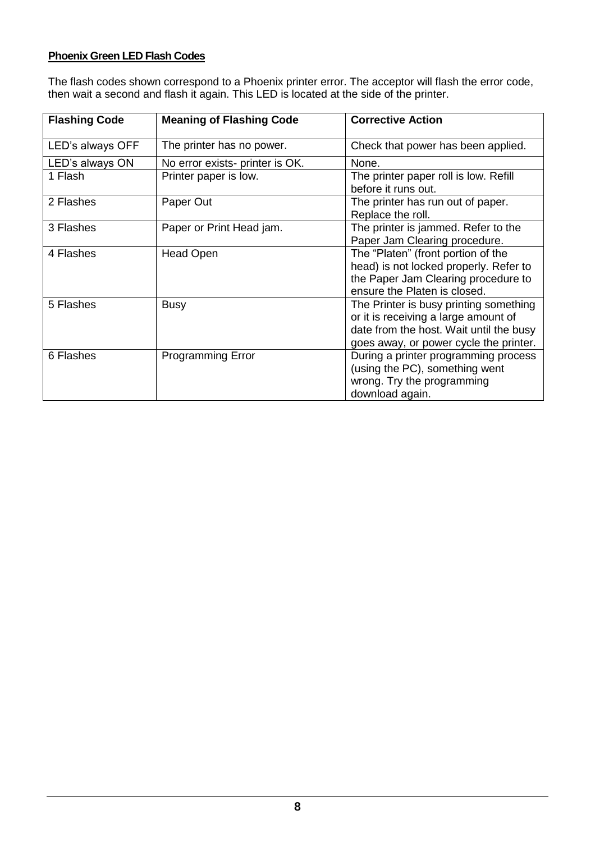# **Phoenix Green LED Flash Codes**

The flash codes shown correspond to a Phoenix printer error. The acceptor will flash the error code, then wait a second and flash it again. This LED is located at the side of the printer.

| <b>Flashing Code</b> | <b>Meaning of Flashing Code</b> | <b>Corrective Action</b>                |
|----------------------|---------------------------------|-----------------------------------------|
|                      |                                 |                                         |
| LED's always OFF     | The printer has no power.       | Check that power has been applied.      |
| LED's always ON      | No error exists- printer is OK. | None.                                   |
| 1 Flash              | Printer paper is low.           | The printer paper roll is low. Refill   |
|                      |                                 | before it runs out.                     |
| 2 Flashes            | Paper Out                       | The printer has run out of paper.       |
|                      |                                 | Replace the roll.                       |
| 3 Flashes            | Paper or Print Head jam.        | The printer is jammed. Refer to the     |
|                      |                                 | Paper Jam Clearing procedure.           |
| 4 Flashes            | Head Open                       | The "Platen" (front portion of the      |
|                      |                                 | head) is not locked properly. Refer to  |
|                      |                                 | the Paper Jam Clearing procedure to     |
|                      |                                 | ensure the Platen is closed.            |
| 5 Flashes            | <b>Busy</b>                     | The Printer is busy printing something  |
|                      |                                 | or it is receiving a large amount of    |
|                      |                                 | date from the host. Wait until the busy |
|                      |                                 | goes away, or power cycle the printer.  |
| 6 Flashes            | <b>Programming Error</b>        | During a printer programming process    |
|                      |                                 | (using the PC), something went          |
|                      |                                 | wrong. Try the programming              |
|                      |                                 | download again.                         |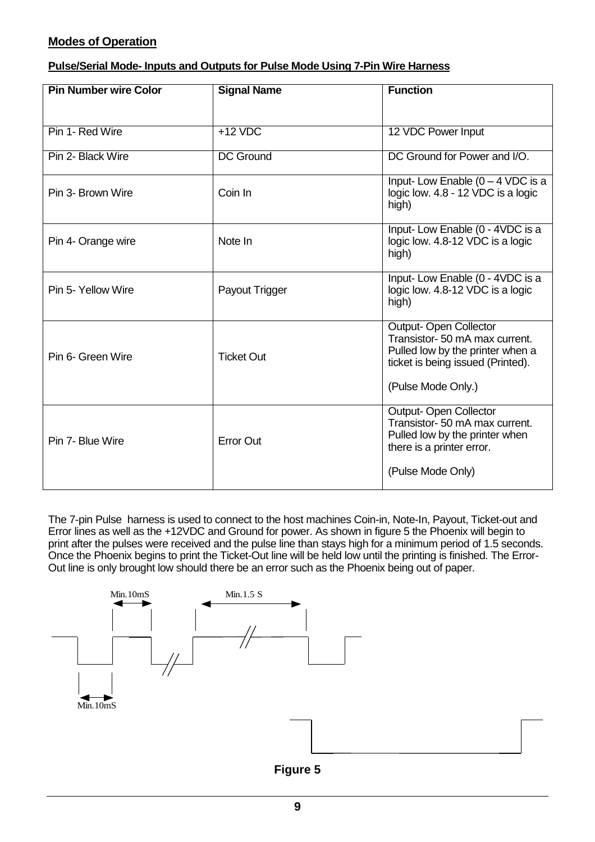# **Modes of Operation**

| Pulse/Serial Mode-Inputs and Outputs for Pulse Mode Using 7-Pin Wire Harness |
|------------------------------------------------------------------------------|
|------------------------------------------------------------------------------|

| <b>Pin Number wire Color</b> | <b>Signal Name</b> | <b>Function</b>                                                                                                                                               |
|------------------------------|--------------------|---------------------------------------------------------------------------------------------------------------------------------------------------------------|
|                              |                    |                                                                                                                                                               |
| Pin 1- Red Wire              | $+12$ VDC          | 12 VDC Power Input                                                                                                                                            |
| Pin 2- Black Wire            | <b>DC Ground</b>   | DC Ground for Power and I/O.                                                                                                                                  |
| Pin 3- Brown Wire            | Coin In            | Input-Low Enable $(0 - 4$ VDC is a<br>logic low. 4.8 - 12 VDC is a logic<br>high)                                                                             |
| Pin 4- Orange wire           | Note In            | Input-Low Enable (0 - 4VDC is a<br>logic low. 4.8-12 VDC is a logic<br>high)                                                                                  |
| Pin 5- Yellow Wire           | Payout Trigger     | Input-Low Enable (0 - 4VDC is a<br>logic low. 4.8-12 VDC is a logic<br>high)                                                                                  |
| Pin 6- Green Wire            | <b>Ticket Out</b>  | <b>Output-Open Collector</b><br>Transistor- 50 mA max current.<br>Pulled low by the printer when a<br>ticket is being issued (Printed).<br>(Pulse Mode Only.) |
| Pin 7- Blue Wire             | <b>Error Out</b>   | <b>Output-Open Collector</b><br>Transistor- 50 mA max current.<br>Pulled low by the printer when<br>there is a printer error.<br>(Pulse Mode Only)            |

The 7-pin Pulse harness is used to connect to the host machines Coin-in, Note-In, Payout, Ticket-out and Error lines as well as the +12VDC and Ground for power. As shown in figure 5 the Phoenix will begin to print after the pulses were received and the pulse line than stays high for a minimum period of 1.5 seconds. Once the Phoenix begins to print the Ticket-Out line will be held low until the printing is finished. The Error-Out line is only brought low should there be an error such as the Phoenix being out of paper.



**Figure 5**